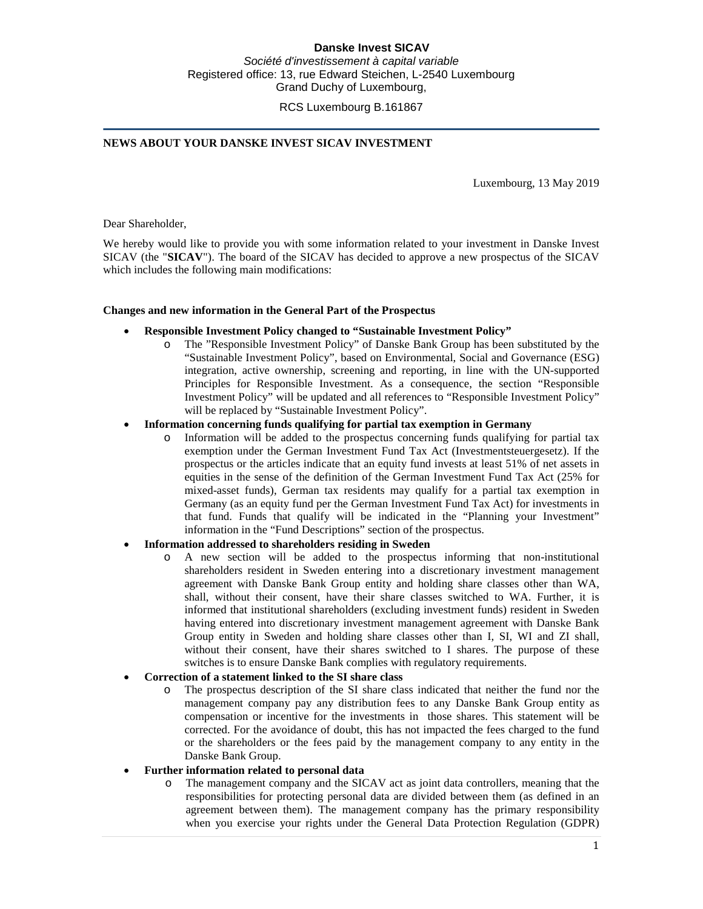# **Danske Invest SICAV**

*Société d'investissement à capital variable* Registered office: 13, rue Edward Steichen, L-2540 Luxembourg Grand Duchy of Luxembourg,

RCS Luxembourg B.161867

## **NEWS ABOUT YOUR DANSKE INVEST SICAV INVESTMENT**

Luxembourg, 13 May 2019

Dear Shareholder,

We hereby would like to provide you with some information related to your investment in Danske Invest SICAV (the "**SICAV**"). The board of the SICAV has decided to approve a new prospectus of the SICAV which includes the following main modifications:

### **Changes and new information in the General Part of the Prospectus**

- **Responsible Investment Policy changed to "Sustainable Investment Policy"**
	- o The "Responsible Investment Policy" of Danske Bank Group has been substituted by the "Sustainable Investment Policy", based on Environmental, Social and Governance (ESG) integration, active ownership, screening and reporting, in line with the UN-supported Principles for Responsible Investment. As a consequence, the section "Responsible Investment Policy" will be updated and all references to "Responsible Investment Policy" will be replaced by "Sustainable Investment Policy".

### • **Information concerning funds qualifying for partial tax exemption in Germany**

o Information will be added to the prospectus concerning funds qualifying for partial tax exemption under the German Investment Fund Tax Act (Investmentsteuergesetz). If the prospectus or the articles indicate that an equity fund invests at least 51% of net assets in equities in the sense of the definition of the German Investment Fund Tax Act (25% for mixed-asset funds), German tax residents may qualify for a partial tax exemption in Germany (as an equity fund per the German Investment Fund Tax Act) for investments in that fund. Funds that qualify will be indicated in the "Planning your Investment" information in the "Fund Descriptions" section of the prospectus.

## • **Information addressed to shareholders residing in Sweden**

o A new section will be added to the prospectus informing that non-institutional shareholders resident in Sweden entering into a discretionary investment management agreement with Danske Bank Group entity and holding share classes other than WA, shall, without their consent, have their share classes switched to WA. Further, it is informed that institutional shareholders (excluding investment funds) resident in Sweden having entered into discretionary investment management agreement with Danske Bank Group entity in Sweden and holding share classes other than I, SI, WI and ZI shall, without their consent, have their shares switched to I shares. The purpose of these switches is to ensure Danske Bank complies with regulatory requirements.

### • **Correction of a statement linked to the SI share class**

o The prospectus description of the SI share class indicated that neither the fund nor the management company pay any distribution fees to any Danske Bank Group entity as compensation or incentive for the investments in those shares. This statement will be corrected. For the avoidance of doubt, this has not impacted the fees charged to the fund or the shareholders or the fees paid by the management company to any entity in the Danske Bank Group.

### • **Further information related to personal data**

o The management company and the SICAV act as joint data controllers, meaning that the responsibilities for protecting personal data are divided between them (as defined in an agreement between them). The management company has the primary responsibility when you exercise your rights under the General Data Protection Regulation (GDPR)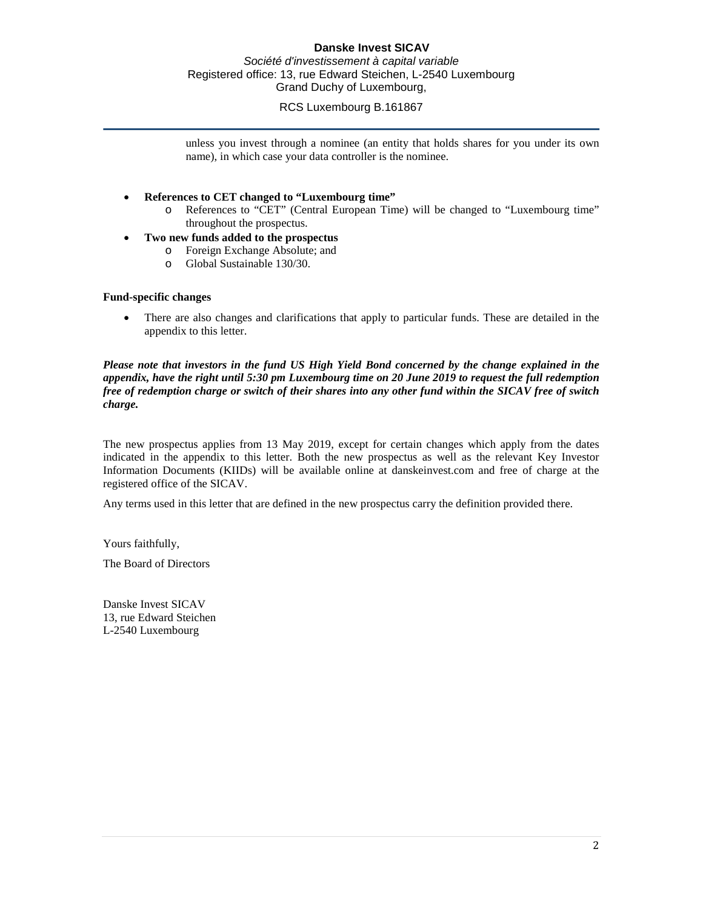# **Danske Invest SICAV**

*Société d'investissement à capital variable* Registered office: 13, rue Edward Steichen, L-2540 Luxembourg Grand Duchy of Luxembourg,

# RCS Luxembourg B.161867

unless you invest through a nominee (an entity that holds shares for you under its own name), in which case your data controller is the nominee.

- **References to CET changed to "Luxembourg time"**
	- o References to "CET" (Central European Time) will be changed to "Luxembourg time" throughout the prospectus.
- **Two new funds added to the prospectus**
	- o Foreign Exchange Absolute; and
	- Global Sustainable 130/30.

## **Fund-specific changes**

• There are also changes and clarifications that apply to particular funds. These are detailed in the appendix to this letter.

*Please note that investors in the fund US High Yield Bond concerned by the change explained in the appendix, have the right until 5:30 pm Luxembourg time on 20 June 2019 to request the full redemption free of redemption charge or switch of their shares into any other fund within the SICAV free of switch charge.*

The new prospectus applies from 13 May 2019, except for certain changes which apply from the dates indicated in the appendix to this letter. Both the new prospectus as well as the relevant Key Investor Information Documents (KIIDs) will be available online at danskeinvest.com and free of charge at the registered office of the SICAV.

Any terms used in this letter that are defined in the new prospectus carry the definition provided there.

Yours faithfully,

The Board of Directors

Danske Invest SICAV 13, rue Edward Steichen L-2540 Luxembourg